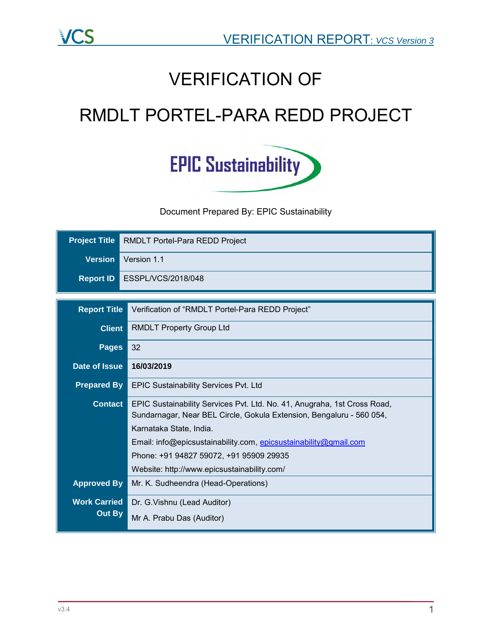

# VERIFICATION OF

# RMDLT PORTEL-PARA REDD PROJECT



Document Prepared By: EPIC Sustainability

| <b>Project Title RMDLT Portel-Para REDD Project</b> |
|-----------------------------------------------------|
| <b>Version</b> Version 1.1                          |
| Report ID ESSPL/VCS/2018/048                        |

| <b>Report Title</b>           | Verification of "RMDLT Portel-Para REDD Project"                                                                                                                                                                                                                                                                                          |
|-------------------------------|-------------------------------------------------------------------------------------------------------------------------------------------------------------------------------------------------------------------------------------------------------------------------------------------------------------------------------------------|
| <b>Client</b>                 | <b>RMDLT Property Group Ltd</b>                                                                                                                                                                                                                                                                                                           |
| <b>Pages</b>                  | 32                                                                                                                                                                                                                                                                                                                                        |
| Date of Issue                 | 16/03/2019                                                                                                                                                                                                                                                                                                                                |
| <b>Prepared By</b>            | <b>EPIC Sustainability Services Pvt. Ltd</b>                                                                                                                                                                                                                                                                                              |
| <b>Contact</b>                | EPIC Sustainability Services Pvt. Ltd. No. 41, Anugraha, 1st Cross Road,<br>Sundarnagar, Near BEL Circle, Gokula Extension, Bengaluru - 560 054,<br>Karnataka State, India.<br>Email: info@epicsustainability.com, epicsustainability@gmail.com<br>Phone: +91 94827 59072, +91 95909 29935<br>Website: http://www.epicsustainability.com/ |
| <b>Approved By</b>            | Mr. K. Sudheendra (Head-Operations)                                                                                                                                                                                                                                                                                                       |
| <b>Work Carried</b><br>Out By | Dr. G. Vishnu (Lead Auditor)<br>Mr A. Prabu Das (Auditor)                                                                                                                                                                                                                                                                                 |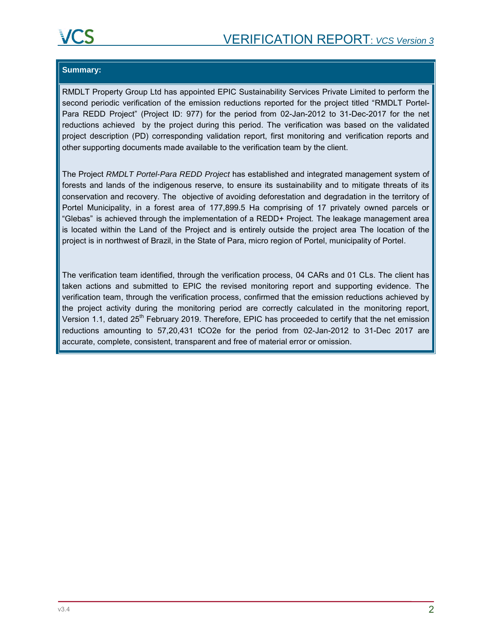#### **Summary:**

RMDLT Property Group Ltd has appointed EPIC Sustainability Services Private Limited to perform the second periodic verification of the emission reductions reported for the project titled "RMDLT Portel-Para REDD Project" (Project ID: 977) for the period from 02-Jan-2012 to 31-Dec-2017 for the net reductions achieved by the project during this period. The verification was based on the validated project description (PD) corresponding validation report, first monitoring and verification reports and other supporting documents made available to the verification team by the client.

The Project *RMDLT Portel-Para REDD Project* has established and integrated management system of forests and lands of the indigenous reserve, to ensure its sustainability and to mitigate threats of its conservation and recovery. The objective of avoiding deforestation and degradation in the territory of Portel Municipality, in a forest area of 177,899.5 Ha comprising of 17 privately owned parcels or "Glebas" is achieved through the implementation of a REDD+ Project*.* The leakage management area is located within the Land of the Project and is entirely outside the project area The location of the project is in northwest of Brazil, in the State of Para, micro region of Portel, municipality of Portel.

The verification team identified, through the verification process, 04 CARs and 01 CLs. The client has taken actions and submitted to EPIC the revised monitoring report and supporting evidence. The verification team, through the verification process, confirmed that the emission reductions achieved by the project activity during the monitoring period are correctly calculated in the monitoring report, Version 1.1, dated 25<sup>th</sup> February 2019. Therefore, EPIC has proceeded to certify that the net emission reductions amounting to 57,20,431 tCO2e for the period from 02-Jan-2012 to 31-Dec 2017 are accurate, complete, consistent, transparent and free of material error or omission.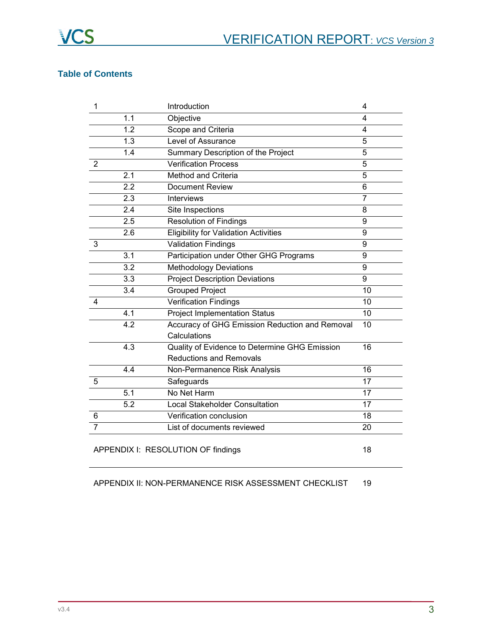#### **Table of Contents**

| 1              |                  | Introduction                                                                    | 4               |
|----------------|------------------|---------------------------------------------------------------------------------|-----------------|
|                | 1.1              | Objective                                                                       | 4               |
|                | 1.2              | Scope and Criteria                                                              | $\overline{4}$  |
|                | 1.3              | Level of Assurance                                                              | 5               |
|                | 1.4              | Summary Description of the Project                                              | 5               |
| 2              |                  | Verification Process                                                            | 5               |
|                | 2.1              | Method and Criteria                                                             | 5               |
|                | 2.2              | Document Review                                                                 | 6               |
|                | 2.3              | Interviews                                                                      | $\overline{7}$  |
|                | $\overline{2.4}$ | Site Inspections                                                                | 8               |
|                | 2.5              | <b>Resolution of Findings</b>                                                   | 9               |
|                | 2.6              | <b>Eligibility for Validation Activities</b>                                    | 9               |
| 3              |                  | Validation Findings                                                             | 9               |
|                | 3.1              | Participation under Other GHG Programs                                          | 9               |
|                | 3.2              | <b>Methodology Deviations</b>                                                   | 9               |
|                | 3.3              | <b>Project Description Deviations</b>                                           | 9               |
|                | 3.4              | <b>Grouped Project</b>                                                          | 10              |
| 4              |                  | <b>Verification Findings</b>                                                    | 10              |
|                | 4.1              | <b>Project Implementation Status</b>                                            | $\overline{10}$ |
|                | 4.2              | Accuracy of GHG Emission Reduction and Removal<br>Calculations                  | 10              |
|                | 4.3              | Quality of Evidence to Determine GHG Emission<br><b>Reductions and Removals</b> | 16              |
|                | 4.4              | Non-Permanence Risk Analysis                                                    | 16              |
| 5              |                  | Safeguards                                                                      | 17              |
|                | 5.1              | No Net Harm                                                                     | 17              |
|                | 5.2              | <b>Local Stakeholder Consultation</b>                                           | 17              |
| 6              |                  | Verification conclusion                                                         | $\overline{18}$ |
| $\overline{7}$ |                  | List of documents reviewed                                                      | 20              |
|                |                  | APPENDIX I: RESOLUTION OF findings                                              | 18              |

APPENDIX II: NON-PERMANENCE RISK ASSESSMENT CHECKLIST 19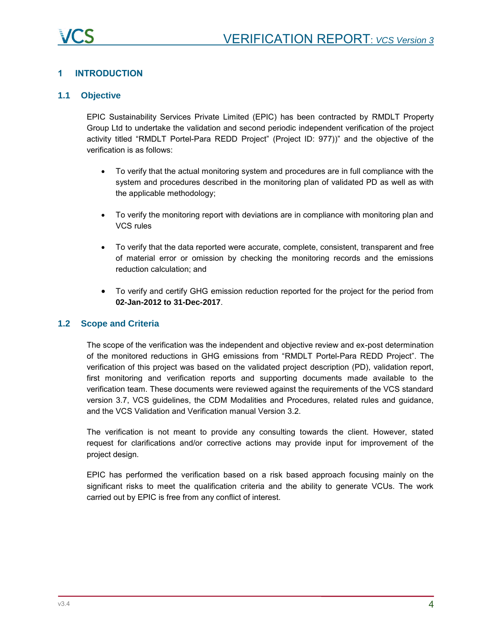#### **1 INTRODUCTION**

#### **1.1 Objective**

EPIC Sustainability Services Private Limited (EPIC) has been contracted by RMDLT Property Group Ltd to undertake the validation and second periodic independent verification of the project activity titled "RMDLT Portel-Para REDD Project" (Project ID: 977))" and the objective of the verification is as follows:

- To verify that the actual monitoring system and procedures are in full compliance with the system and procedures described in the monitoring plan of validated PD as well as with the applicable methodology;
- To verify the monitoring report with deviations are in compliance with monitoring plan and VCS rules
- To verify that the data reported were accurate, complete, consistent, transparent and free of material error or omission by checking the monitoring records and the emissions reduction calculation; and
- To verify and certify GHG emission reduction reported for the project for the period from **02-Jan-2012 to 31-Dec-2017**.

#### **1.2 Scope and Criteria**

The scope of the verification was the independent and objective review and ex-post determination of the monitored reductions in GHG emissions from "RMDLT Portel-Para REDD Project". The verification of this project was based on the validated project description (PD), validation report, first monitoring and verification reports and supporting documents made available to the verification team. These documents were reviewed against the requirements of the VCS standard version 3.7, VCS guidelines, the CDM Modalities and Procedures, related rules and guidance, and the VCS Validation and Verification manual Version 3.2.

The verification is not meant to provide any consulting towards the client. However, stated request for clarifications and/or corrective actions may provide input for improvement of the project design.

EPIC has performed the verification based on a risk based approach focusing mainly on the significant risks to meet the qualification criteria and the ability to generate VCUs. The work carried out by EPIC is free from any conflict of interest.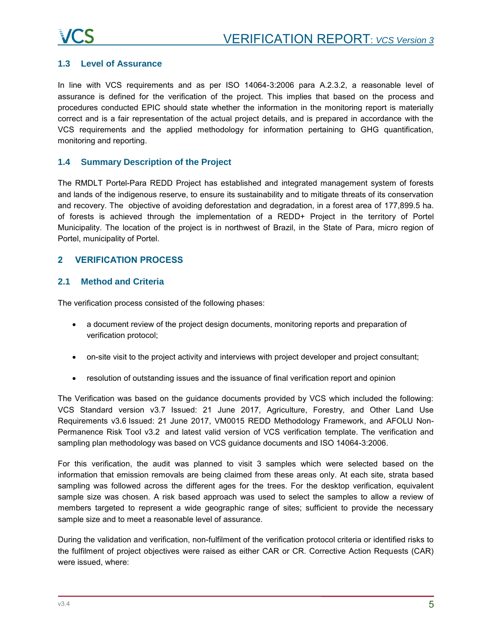#### **1.3 Level of Assurance**

In line with VCS requirements and as per ISO 14064-3:2006 para A.2.3.2, a reasonable level of assurance is defined for the verification of the project. This implies that based on the process and procedures conducted EPIC should state whether the information in the monitoring report is materially correct and is a fair representation of the actual project details, and is prepared in accordance with the VCS requirements and the applied methodology for information pertaining to GHG quantification, monitoring and reporting.

#### **1.4 Summary Description of the Project**

The RMDLT Portel-Para REDD Project has established and integrated management system of forests and lands of the indigenous reserve, to ensure its sustainability and to mitigate threats of its conservation and recovery. The objective of avoiding deforestation and degradation, in a forest area of 177,899.5 ha. of forests is achieved through the implementation of a REDD+ Project in the territory of Portel Municipality. The location of the project is in northwest of Brazil, in the State of Para, micro region of Portel, municipality of Portel.

#### **2 VERIFICATION PROCESS**

#### **2.1 Method and Criteria**

The verification process consisted of the following phases:

- a document review of the project design documents, monitoring reports and preparation of verification protocol;
- on-site visit to the project activity and interviews with project developer and project consultant;
- resolution of outstanding issues and the issuance of final verification report and opinion

The Verification was based on the guidance documents provided by VCS which included the following: VCS Standard version v3.7 Issued: 21 June 2017, Agriculture, Forestry, and Other Land Use Requirements v3.6 Issued: 21 June 2017, VM0015 REDD Methodology Framework, and AFOLU Non-Permanence Risk Tool v3.2 and latest valid version of VCS verification template. The verification and sampling plan methodology was based on VCS guidance documents and ISO 14064-3:2006.

For this verification, the audit was planned to visit 3 samples which were selected based on the information that emission removals are being claimed from these areas only. At each site, strata based sampling was followed across the different ages for the trees. For the desktop verification, equivalent sample size was chosen. A risk based approach was used to select the samples to allow a review of members targeted to represent a wide geographic range of sites; sufficient to provide the necessary sample size and to meet a reasonable level of assurance.

During the validation and verification, non-fulfilment of the verification protocol criteria or identified risks to the fulfilment of project objectives were raised as either CAR or CR. Corrective Action Requests (CAR) were issued, where: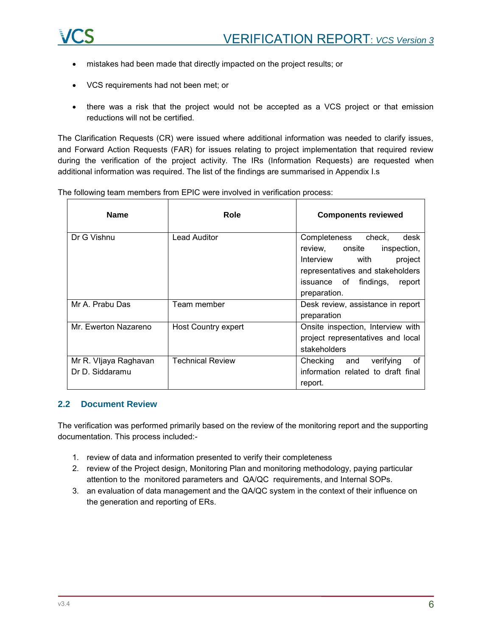

- mistakes had been made that directly impacted on the project results; or
- VCS requirements had not been met; or
- there was a risk that the project would not be accepted as a VCS project or that emission reductions will not be certified.

The Clarification Requests (CR) were issued where additional information was needed to clarify issues, and Forward Action Requests (FAR) for issues relating to project implementation that required review during the verification of the project activity. The IRs (Information Requests) are requested when additional information was required. The list of the findings are summarised in Appendix I.s

The following team members from EPIC were involved in verification process:

| <b>Name</b>                              | Role                | <b>Components reviewed</b>                                                                                                                                                                   |
|------------------------------------------|---------------------|----------------------------------------------------------------------------------------------------------------------------------------------------------------------------------------------|
| Dr G Vishnu                              | Lead Auditor        | Completeness<br>check,<br>desk<br>onsite<br>review,<br>inspection,<br>Interview<br>with<br>project<br>representatives and stakeholders<br>findings,<br>issuance of<br>report<br>preparation. |
| Mr A. Prabu Das                          | Team member         | Desk review, assistance in report<br>preparation                                                                                                                                             |
| Mr. Ewerton Nazareno                     | Host Country expert | Onsite inspection, Interview with<br>project representatives and local<br>stakeholders                                                                                                       |
| Mr R. Vljaya Raghavan<br>Dr D. Siddaramu | Technical Review    | verifying<br>οf<br>Checking<br>and<br>information related to draft final<br>report.                                                                                                          |

#### **2.2 Document Review**

The verification was performed primarily based on the review of the monitoring report and the supporting documentation. This process included:-

- 1. review of data and information presented to verify their completeness
- 2. review of the Project design, Monitoring Plan and monitoring methodology, paying particular attention to the monitored parameters and QA/QC requirements, and Internal SOPs.
- 3. an evaluation of data management and the QA/QC system in the context of their influence on the generation and reporting of ERs.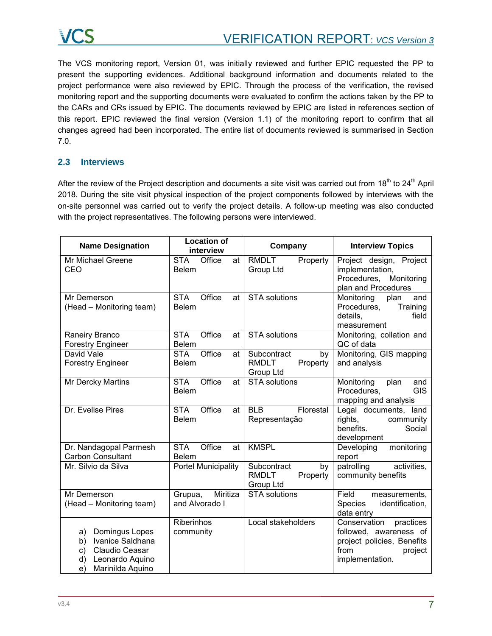The VCS monitoring report, Version 01, was initially reviewed and further EPIC requested the PP to present the supporting evidences. Additional background information and documents related to the project performance were also reviewed by EPIC. Through the process of the verification, the revised monitoring report and the supporting documents were evaluated to confirm the actions taken by the PP to the CARs and CRs issued by EPIC. The documents reviewed by EPIC are listed in references section of this report. EPIC reviewed the final version (Version 1.1) of the monitoring report to confirm that all changes agreed had been incorporated. The entire list of documents reviewed is summarised in Section 7.0.

#### **2.3 Interviews**

After the review of the Project description and documents a site visit was carried out from  $18<sup>th</sup>$  to 24<sup>th</sup> April 2018. During the site visit physical inspection of the project components followed by interviews with the on-site personnel was carried out to verify the project details. A follow-up meeting was also conducted with the project representatives. The following persons were interviewed.

| <b>Name Designation</b>                                                                                                   | <b>Location of</b><br>interview            | Company                                                    | <b>Interview Topics</b>                                                                                                 |
|---------------------------------------------------------------------------------------------------------------------------|--------------------------------------------|------------------------------------------------------------|-------------------------------------------------------------------------------------------------------------------------|
| Mr Michael Greene<br>CEO                                                                                                  | <b>STA</b><br>Office<br>at<br><b>Belem</b> | <b>RMDLT</b><br>Property<br>Group Ltd                      | Project design, Project<br>implementation,<br>Procedures.<br>Monitoring<br>plan and Procedures                          |
| Mr Demerson<br>(Head – Monitoring team)                                                                                   | <b>STA</b><br>Office<br>at<br><b>Belem</b> | <b>STA solutions</b>                                       | Monitoring<br>plan<br>and<br>Procedures,<br>Training<br>details,<br>field<br>measurement                                |
| Raneiry Branco<br><b>Forestry Engineer</b>                                                                                | Office<br><b>STA</b><br>at<br><b>Belem</b> | <b>STA</b> solutions                                       | Monitoring, collation and<br>QC of data                                                                                 |
| David Vale<br><b>Forestry Engineer</b>                                                                                    | Office<br><b>STA</b><br>at<br><b>Belem</b> | Subcontract<br>by<br><b>RMDLT</b><br>Property<br>Group Ltd | Monitoring, GIS mapping<br>and analysis                                                                                 |
| Mr Dercky Martins                                                                                                         | <b>STA</b><br>Office<br>at<br><b>Belem</b> | <b>STA</b> solutions                                       | Monitoring<br>plan<br>and<br><b>GIS</b><br>Procedures,<br>mapping and analysis                                          |
| Dr. Evelise Pires                                                                                                         | <b>STA</b><br>Office<br>at<br><b>Belem</b> | <b>BLB</b><br>Florestal<br>Representação                   | Legal documents, land<br>community<br>rights,<br>benefits.<br>Social<br>development                                     |
| Dr. Nandagopal Parmesh<br><b>Carbon Consultant</b>                                                                        | <b>STA</b><br>Office<br>at<br><b>Belem</b> | <b>KMSPL</b>                                               | monitoring<br>Developing<br>report                                                                                      |
| Mr. Silvio da Silva                                                                                                       | <b>Portel Municipality</b>                 | Subcontract<br>by<br><b>RMDLT</b><br>Property<br>Group Ltd | patrolling<br>activities,<br>community benefits                                                                         |
| Mr Demerson<br>(Head – Monitoring team)                                                                                   | Miritiza<br>Grupua,<br>and Alvorado I      | <b>STA</b> solutions                                       | Field<br>measurements,<br>identification,<br>Species<br>data entry                                                      |
| Domingus Lopes<br>a)<br>Ivanice Saldhana<br>b)<br>Claudio Ceasar<br>C)<br>Leonardo Aquino<br>d)<br>Marinilda Aquino<br>e) | Riberinhos<br>community                    | Local stakeholders                                         | Conservation<br>practices<br>followed, awareness of<br>project policies, Benefits<br>from<br>project<br>implementation. |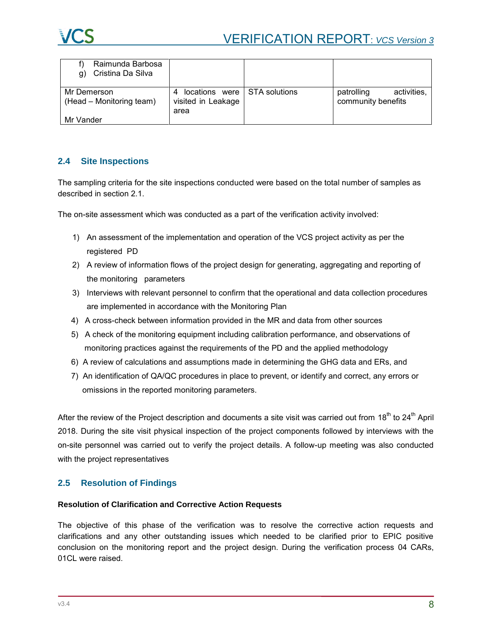

| Raimunda Barbosa<br>Cristina Da Silva<br>a) |                                                              |                                                 |
|---------------------------------------------|--------------------------------------------------------------|-------------------------------------------------|
| Mr Demerson<br>(Head – Monitoring team)     | locations were I STA solutions<br>visited in Leakage<br>area | activities,<br>patrolling<br>community benefits |
| Mr Vander                                   |                                                              |                                                 |

#### **2.4 Site Inspections**

The sampling criteria for the site inspections conducted were based on the total number of samples as described in section 2.1.

The on-site assessment which was conducted as a part of the verification activity involved:

- 1) An assessment of the implementation and operation of the VCS project activity as per the registered PD
- 2) A review of information flows of the project design for generating, aggregating and reporting of the monitoring parameters
- 3) Interviews with relevant personnel to confirm that the operational and data collection procedures are implemented in accordance with the Monitoring Plan
- 4) A cross-check between information provided in the MR and data from other sources
- 5) A check of the monitoring equipment including calibration performance, and observations of monitoring practices against the requirements of the PD and the applied methodology
- 6) A review of calculations and assumptions made in determining the GHG data and ERs, and
- 7) An identification of QA/QC procedures in place to prevent, or identify and correct, any errors or omissions in the reported monitoring parameters.

After the review of the Project description and documents a site visit was carried out from 18<sup>th</sup> to 24<sup>th</sup> April 2018. During the site visit physical inspection of the project components followed by interviews with the on-site personnel was carried out to verify the project details. A follow-up meeting was also conducted with the project representatives

#### **2.5 Resolution of Findings**

#### **Resolution of Clarification and Corrective Action Requests**

The objective of this phase of the verification was to resolve the corrective action requests and clarifications and any other outstanding issues which needed to be clarified prior to EPIC positive conclusion on the monitoring report and the project design. During the verification process 04 CARs, 01CL were raised.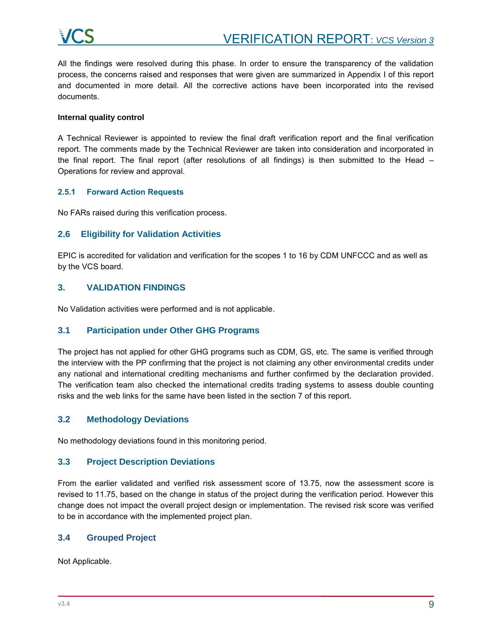All the findings were resolved during this phase. In order to ensure the transparency of the validation process, the concerns raised and responses that were given are summarized in Appendix I of this report and documented in more detail. All the corrective actions have been incorporated into the revised documents.

#### **Internal quality control**

A Technical Reviewer is appointed to review the final draft verification report and the final verification report. The comments made by the Technical Reviewer are taken into consideration and incorporated in the final report. The final report (after resolutions of all findings) is then submitted to the Head – Operations for review and approval.

#### **2.5.1 Forward Action Requests**

No FARs raised during this verification process.

#### **2.6 Eligibility for Validation Activities**

EPIC is accredited for validation and verification for the scopes 1 to 16 by CDM UNFCCC and as well as by the VCS board.

#### **3. VALIDATION FINDINGS**

No Validation activities were performed and is not applicable.

#### **3.1 Participation under Other GHG Programs**

The project has not applied for other GHG programs such as CDM, GS, etc. The same is verified through the interview with the PP confirming that the project is not claiming any other environmental credits under any national and international crediting mechanisms and further confirmed by the declaration provided. The verification team also checked the international credits trading systems to assess double counting risks and the web links for the same have been listed in the section 7 of this report.

#### **3.2 Methodology Deviations**

No methodology deviations found in this monitoring period.

#### **3.3 Project Description Deviations**

From the earlier validated and verified risk assessment score of 13.75, now the assessment score is revised to 11.75, based on the change in status of the project during the verification period. However this change does not impact the overall project design or implementation. The revised risk score was verified to be in accordance with the implemented project plan.

#### **3.4 Grouped Project**

Not Applicable.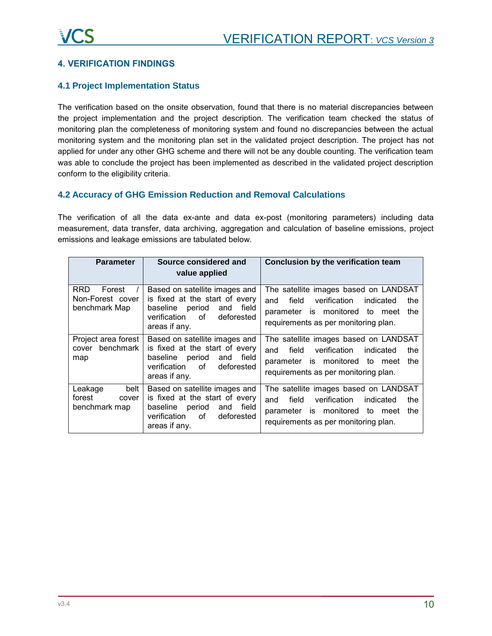#### **4. VERIFICATION FINDINGS**

#### **4.1 Project Implementation Status**

The verification based on the onsite observation, found that there is no material discrepancies between the project implementation and the project description. The verification team checked the status of monitoring plan the completeness of monitoring system and found no discrepancies between the actual monitoring system and the monitoring plan set in the validated project description. The project has not applied for under any other GHG scheme and there will not be any double counting. The verification team was able to conclude the project has been implemented as described in the validated project description conform to the eligibility criteria.

#### **4.2 Accuracy of GHG Emission Reduction and Removal Calculations**

The verification of all the data ex-ante and data ex-post (monitoring parameters) including data measurement, data transfer, data archiving, aggregation and calculation of baseline emissions, project emissions and leakage emissions are tabulated below.

| <b>Parameter</b>                                          | Source considered and<br>value applied                                                                                                                                 | Conclusion by the verification team                                                                                                                                                 |
|-----------------------------------------------------------|------------------------------------------------------------------------------------------------------------------------------------------------------------------------|-------------------------------------------------------------------------------------------------------------------------------------------------------------------------------------|
| <b>RRD</b><br>Forest<br>Non-Forest cover<br>benchmark Map | Based on satellite images and<br>is fixed at the start of every<br>period<br>baseline<br>field<br>and<br>o <sub>f</sub><br>deforested<br>verification<br>areas if any. | The satellite images based on LANDSAT<br>verification<br>field<br>indicated<br>and<br>the<br>parameter is monitored to meet<br>the<br>requirements as per monitoring plan.          |
| Project area forest<br>benchmark<br>cover<br>map          | Based on satellite images and<br>is fixed at the start of every<br>field<br>baseline<br>period<br>and<br>verification<br>of<br>deforested<br>areas if any.             | The satellite images based on LANDSAT<br>verification<br>field<br>indicated<br>the<br>and<br>is monitored to<br>the<br>parameter<br>meet<br>requirements as per monitoring plan.    |
| belt<br>Leakage<br>forest<br>cover<br>benchmark map       | Based on satellite images and<br>is fixed at the start of every<br>baseline<br>period<br>field<br>and<br>of<br>verification<br>deforested<br>areas if any.             | The satellite images based on LANDSAT<br>verification<br>field<br>indicated<br>the<br>and<br>is monitored<br>the<br>parameter<br>to<br>meet<br>requirements as per monitoring plan. |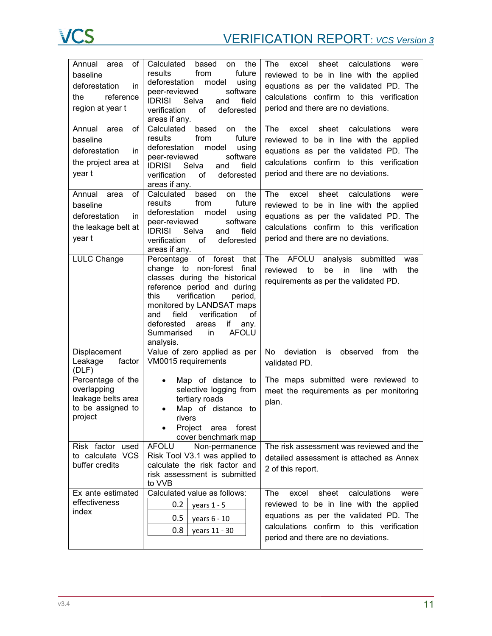

| Annual<br>οf<br>area<br>baseline<br>deforestation<br>in<br>the<br>reference<br>region at year t<br>of<br>Annual area<br>baseline<br>deforestation<br>in<br>the project area at | Calculated<br>the<br>based<br>on<br>future<br>results<br>from<br>deforestation<br>model<br>using<br>peer-reviewed<br>software<br><b>IDRISI</b><br>Selva<br>field<br>and<br>of<br>verification<br>deforested<br>areas if any.<br>the<br>Calculated<br>based<br>on<br>future<br>results<br>from<br>deforestation<br>model<br>using<br>peer-reviewed<br>software | sheet<br>calculations<br>The<br>excel<br>were<br>reviewed to be in line with the applied<br>equations as per the validated PD. The<br>calculations confirm to this verification<br>period and there are no deviations.<br>calculations<br>The<br>sheet<br>excel<br>were<br>reviewed to be in line with the applied<br>equations as per the validated PD. The<br>calculations confirm to this verification |
|--------------------------------------------------------------------------------------------------------------------------------------------------------------------------------|---------------------------------------------------------------------------------------------------------------------------------------------------------------------------------------------------------------------------------------------------------------------------------------------------------------------------------------------------------------|-----------------------------------------------------------------------------------------------------------------------------------------------------------------------------------------------------------------------------------------------------------------------------------------------------------------------------------------------------------------------------------------------------------|
| year t                                                                                                                                                                         | <b>IDRISI</b><br>Selva<br>field<br>and<br>verification<br>οf<br>deforested<br>areas if any.                                                                                                                                                                                                                                                                   | period and there are no deviations.                                                                                                                                                                                                                                                                                                                                                                       |
| of<br>Annual area<br>baseline<br>deforestation<br>in.<br>the leakage belt at<br>year t                                                                                         | the<br>based<br>Calculated<br>on<br>from<br>results<br>future<br>deforestation<br>model<br>using<br>peer-reviewed<br>software<br><b>IDRISI</b><br>Selva<br>field<br>and<br>of<br>verification<br>deforested<br>areas if any.                                                                                                                                  | sheet<br>calculations<br>The<br>excel<br>were<br>reviewed to be in line with the applied<br>equations as per the validated PD. The<br>calculations confirm to this verification<br>period and there are no deviations.                                                                                                                                                                                    |
| <b>LULC Change</b>                                                                                                                                                             | Percentage<br>that<br>of<br>forest<br>change to non-forest<br>final<br>classes during the historical<br>reference period and during<br>this<br>verification<br>period,<br>monitored by LANDSAT maps<br>field<br>verification<br>and<br>οf<br>deforested<br>if<br>areas<br>any.<br><b>AFOLU</b><br>Summarised<br>in.<br>analysis.                              | The AFOLU<br>analysis<br>submitted<br>was<br>in<br>reviewed<br>to<br>be<br>line<br>with<br>the<br>requirements as per the validated PD.                                                                                                                                                                                                                                                                   |
| Displacement<br>Leakage<br>factor<br>(DLF)                                                                                                                                     | Value of zero applied as per<br>VM0015 requirements                                                                                                                                                                                                                                                                                                           | deviation<br>is<br>No l<br>observed<br>from<br>the<br>validated PD.                                                                                                                                                                                                                                                                                                                                       |
| Percentage of the<br>overlapping<br>leakage belts area<br>to be assigned to<br>project                                                                                         | Map of distance to<br>$\bullet$<br>selective logging from<br>tertiary roads<br>Map of distance to<br>$\bullet$<br>rivers<br>forest<br>Project area<br>cover benchmark map                                                                                                                                                                                     | The maps submitted were reviewed to<br>meet the requirements as per monitoring<br>plan.                                                                                                                                                                                                                                                                                                                   |
| Risk factor used<br>to calculate VCS<br>buffer credits                                                                                                                         | AFOLU<br>Non-permanence<br>Risk Tool V3.1 was applied to<br>calculate the risk factor and<br>risk assessment is submitted<br>to VVB                                                                                                                                                                                                                           | The risk assessment was reviewed and the<br>detailed assessment is attached as Annex<br>2 of this report.                                                                                                                                                                                                                                                                                                 |
| Ex ante estimated<br>effectiveness<br>index                                                                                                                                    | Calculated value as follows:<br>0.2<br>years $1 - 5$<br>0.5<br>years 6 - 10<br>0.8<br>years 11 - 30                                                                                                                                                                                                                                                           | <b>The</b><br>calculations<br>sheet<br>excel<br>were<br>reviewed to be in line with the applied<br>equations as per the validated PD. The<br>calculations confirm to this verification<br>period and there are no deviations.                                                                                                                                                                             |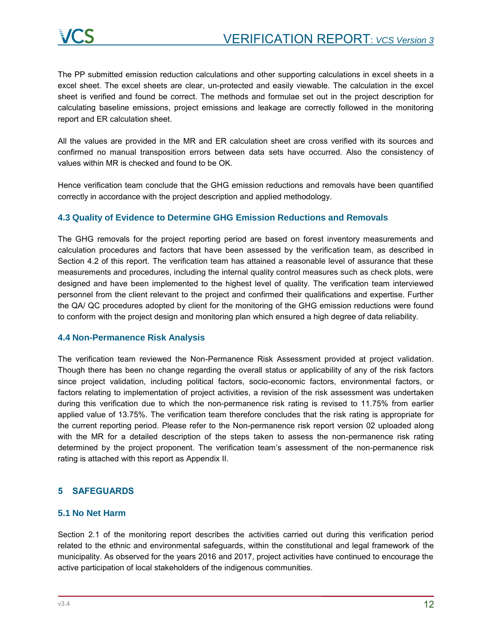The PP submitted emission reduction calculations and other supporting calculations in excel sheets in a excel sheet. The excel sheets are clear, un-protected and easily viewable. The calculation in the excel sheet is verified and found be correct. The methods and formulae set out in the project description for calculating baseline emissions, project emissions and leakage are correctly followed in the monitoring report and ER calculation sheet.

All the values are provided in the MR and ER calculation sheet are cross verified with its sources and confirmed no manual transposition errors between data sets have occurred. Also the consistency of values within MR is checked and found to be OK.

Hence verification team conclude that the GHG emission reductions and removals have been quantified correctly in accordance with the project description and applied methodology.

#### **4.3 Quality of Evidence to Determine GHG Emission Reductions and Removals**

The GHG removals for the project reporting period are based on forest inventory measurements and calculation procedures and factors that have been assessed by the verification team, as described in Section 4.2 of this report. The verification team has attained a reasonable level of assurance that these measurements and procedures, including the internal quality control measures such as check plots, were designed and have been implemented to the highest level of quality. The verification team interviewed personnel from the client relevant to the project and confirmed their qualifications and expertise. Further the QA/ QC procedures adopted by client for the monitoring of the GHG emission reductions were found to conform with the project design and monitoring plan which ensured a high degree of data reliability.

#### **4.4 Non-Permanence Risk Analysis**

The verification team reviewed the Non-Permanence Risk Assessment provided at project validation. Though there has been no change regarding the overall status or applicability of any of the risk factors since project validation, including political factors, socio-economic factors, environmental factors, or factors relating to implementation of project activities, a revision of the risk assessment was undertaken during this verification due to which the non-permanence risk rating is revised to 11.75% from earlier applied value of 13.75%. The verification team therefore concludes that the risk rating is appropriate for the current reporting period. Please refer to the Non-permanence risk report version 02 uploaded along with the MR for a detailed description of the steps taken to assess the non-permanence risk rating determined by the project proponent. The verification team's assessment of the non-permanence risk rating is attached with this report as Appendix II.

#### **5 SAFEGUARDS**

#### **5.1 No Net Harm**

Section 2.1 of the monitoring report describes the activities carried out during this verification period related to the ethnic and environmental safeguards, within the constitutional and legal framework of the municipality. As observed for the years 2016 and 2017, project activities have continued to encourage the active participation of local stakeholders of the indigenous communities.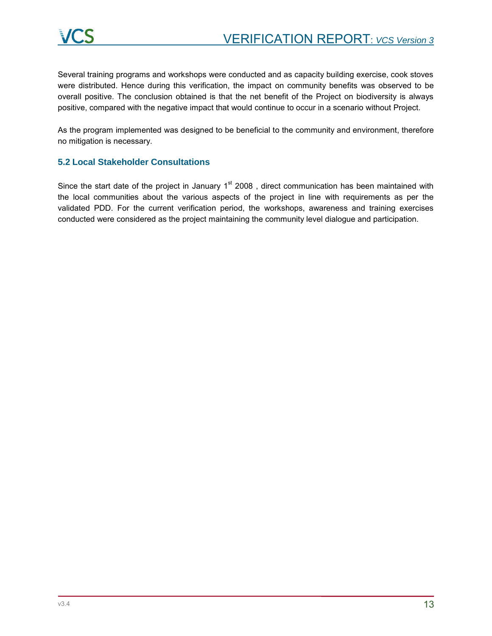Several training programs and workshops were conducted and as capacity building exercise, cook stoves were distributed. Hence during this verification, the impact on community benefits was observed to be overall positive. The conclusion obtained is that the net benefit of the Project on biodiversity is always positive, compared with the negative impact that would continue to occur in a scenario without Project.

As the program implemented was designed to be beneficial to the community and environment, therefore no mitigation is necessary.

#### **5.2 Local Stakeholder Consultations**

Since the start date of the project in January  $1<sup>st</sup>$  2008, direct communication has been maintained with the local communities about the various aspects of the project in line with requirements as per the validated PDD. For the current verification period, the workshops, awareness and training exercises conducted were considered as the project maintaining the community level dialogue and participation.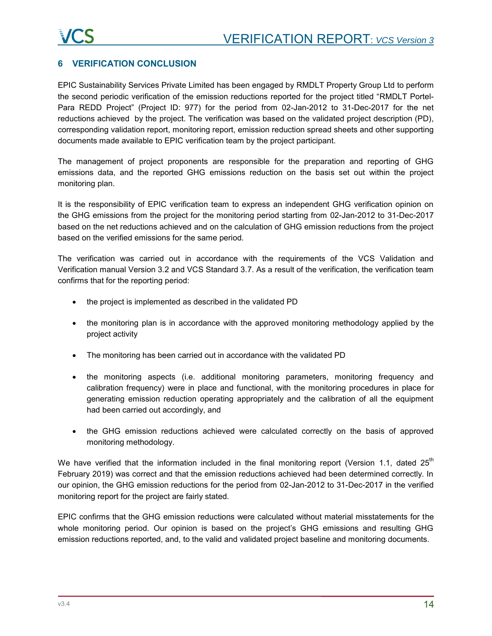#### **6 VERIFICATION CONCLUSION**

EPIC Sustainability Services Private Limited has been engaged by RMDLT Property Group Ltd to perform the second periodic verification of the emission reductions reported for the project titled "RMDLT Portel-Para REDD Project" (Project ID: 977) for the period from 02-Jan-2012 to 31-Dec-2017 for the net reductions achieved by the project. The verification was based on the validated project description (PD), corresponding validation report, monitoring report, emission reduction spread sheets and other supporting documents made available to EPIC verification team by the project participant.

The management of project proponents are responsible for the preparation and reporting of GHG emissions data, and the reported GHG emissions reduction on the basis set out within the project monitoring plan.

It is the responsibility of EPIC verification team to express an independent GHG verification opinion on the GHG emissions from the project for the monitoring period starting from 02-Jan-2012 to 31-Dec-2017 based on the net reductions achieved and on the calculation of GHG emission reductions from the project based on the verified emissions for the same period.

The verification was carried out in accordance with the requirements of the VCS Validation and Verification manual Version 3.2 and VCS Standard 3.7. As a result of the verification, the verification team confirms that for the reporting period:

- the project is implemented as described in the validated PD
- the monitoring plan is in accordance with the approved monitoring methodology applied by the project activity
- The monitoring has been carried out in accordance with the validated PD
- the monitoring aspects (i.e. additional monitoring parameters, monitoring frequency and calibration frequency) were in place and functional, with the monitoring procedures in place for generating emission reduction operating appropriately and the calibration of all the equipment had been carried out accordingly, and
- the GHG emission reductions achieved were calculated correctly on the basis of approved monitoring methodology.

We have verified that the information included in the final monitoring report (Version 1.1, dated  $25<sup>th</sup>$ February 2019) was correct and that the emission reductions achieved had been determined correctly. In our opinion, the GHG emission reductions for the period from 02-Jan-2012 to 31-Dec-2017 in the verified monitoring report for the project are fairly stated.

EPIC confirms that the GHG emission reductions were calculated without material misstatements for the whole monitoring period. Our opinion is based on the project's GHG emissions and resulting GHG emission reductions reported, and, to the valid and validated project baseline and monitoring documents.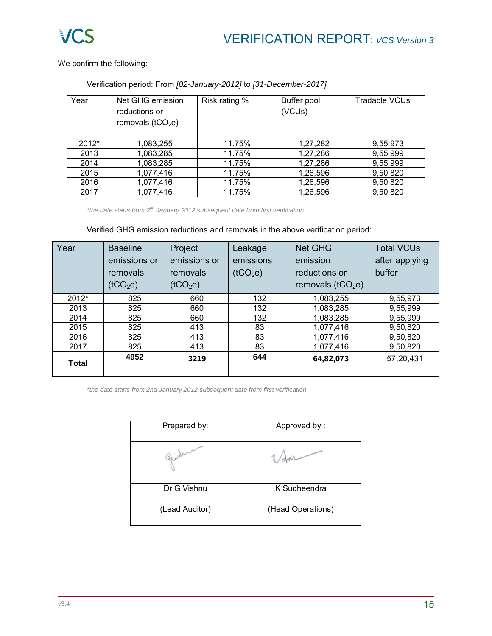

We confirm the following:

#### Verification period: From *[02-January-2012]* to *[31-December-2017]*

| Year  | Net GHG emission<br>reductions or<br>removals $(tCO2e)$ | Risk rating % | Buffer pool<br>(VCUs) | Tradable VCUs |
|-------|---------------------------------------------------------|---------------|-----------------------|---------------|
| 2012* | 1,083,255                                               | 11.75%        | 1,27,282              | 9,55,973      |
| 2013  | 1,083,285                                               | 11.75%        | 1,27,286              | 9,55,999      |
| 2014  | 1,083,285                                               | 11.75%        | 1,27,286              | 9,55,999      |
| 2015  | 1,077,416                                               | 11.75%        | 1,26,596              | 9,50,820      |
| 2016  | 1,077,416                                               | 11.75%        | 1,26,596              | 9,50,820      |
| 2017  | 1,077,416                                               | 11.75%        | 1,26,596              | 9,50,820      |

*\*the date starts from 2nd January 2012 subsequent date from first verification* 

#### Verified GHG emission reductions and removals in the above verification period:

| Year         | <b>Baseline</b><br>emissions or<br>removals<br>(tCO <sub>2</sub> e) | Project<br>emissions or<br>removals<br>(tCO <sub>2</sub> e) | Leakage<br>emissions<br>(tCO <sub>2</sub> e) | Net GHG<br>emission<br>reductions or<br>removals $(tCO2e)$ | <b>Total VCUs</b><br>after applying<br>buffer |
|--------------|---------------------------------------------------------------------|-------------------------------------------------------------|----------------------------------------------|------------------------------------------------------------|-----------------------------------------------|
| 2012*        | 825                                                                 | 660                                                         | 132                                          | 1,083,255                                                  | 9,55,973                                      |
| 2013         | 825                                                                 | 660                                                         | 132                                          | 1,083,285                                                  | 9,55,999                                      |
| 2014         | 825                                                                 | 660                                                         | 132                                          | 1,083,285                                                  | 9,55,999                                      |
| 2015         | 825                                                                 | 413                                                         | 83                                           | 1,077,416                                                  | 9,50,820                                      |
| 2016         | 825                                                                 | 413                                                         | 83                                           | 1,077,416                                                  | 9,50,820                                      |
| 2017         | 825                                                                 | 413                                                         | 83                                           | 1,077,416                                                  | 9,50,820                                      |
| <b>Total</b> | 4952                                                                | 3219                                                        | 644                                          | 64,82,073                                                  | 57,20,431                                     |

*\*the date starts from 2nd January 2012 subsequent date from first verification* 

| Prepared by:   | Approved by:      |
|----------------|-------------------|
| Gainham        |                   |
| Dr G Vishnu    | K Sudheendra      |
| (Lead Auditor) | (Head Operations) |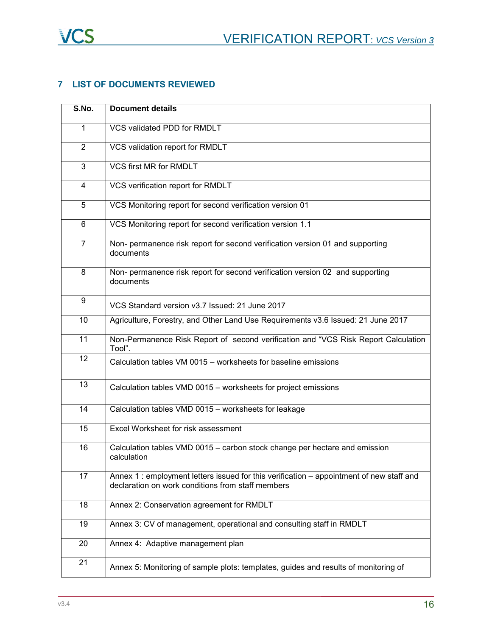

#### **LIST OF DOCUMENTS REVIEWED**

| S.No.           | <b>Document details</b>                                                                                                                      |
|-----------------|----------------------------------------------------------------------------------------------------------------------------------------------|
| $\mathbf{1}$    | VCS validated PDD for RMDLT                                                                                                                  |
| $\overline{2}$  | VCS validation report for RMDLT                                                                                                              |
| 3               | <b>VCS first MR for RMDLT</b>                                                                                                                |
| 4               | VCS verification report for RMDLT                                                                                                            |
| 5               | VCS Monitoring report for second verification version 01                                                                                     |
| 6               | VCS Monitoring report for second verification version 1.1                                                                                    |
| $\overline{7}$  | Non- permanence risk report for second verification version 01 and supporting<br>documents                                                   |
| 8               | Non- permanence risk report for second verification version 02 and supporting<br>documents                                                   |
| 9               | VCS Standard version v3.7 Issued: 21 June 2017                                                                                               |
| 10              | Agriculture, Forestry, and Other Land Use Requirements v3.6 Issued: 21 June 2017                                                             |
| $\overline{11}$ | Non-Permanence Risk Report of second verification and "VCS Risk Report Calculation<br>Tool".                                                 |
| 12              | Calculation tables VM 0015 - worksheets for baseline emissions                                                                               |
| 13              | Calculation tables VMD 0015 - worksheets for project emissions                                                                               |
| 14              | Calculation tables VMD 0015 - worksheets for leakage                                                                                         |
| 15              | Excel Worksheet for risk assessment                                                                                                          |
| 16              | Calculation tables VMD 0015 - carbon stock change per hectare and emission<br>calculation                                                    |
| 17              | Annex 1: employment letters issued for this verification - appointment of new staff and<br>declaration on work conditions from staff members |
| 18              | Annex 2: Conservation agreement for RMDLT                                                                                                    |
| 19              | Annex 3: CV of management, operational and consulting staff in RMDLT                                                                         |
| 20              | Annex 4: Adaptive management plan                                                                                                            |
| 21              | Annex 5: Monitoring of sample plots: templates, guides and results of monitoring of                                                          |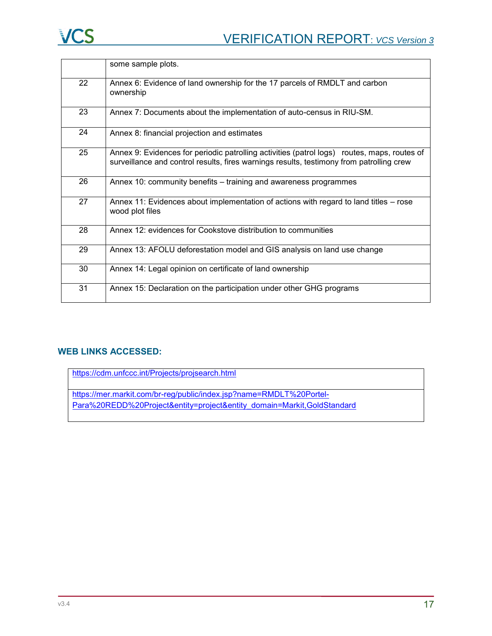

|    | some sample plots.                                                                                                                                                                      |
|----|-----------------------------------------------------------------------------------------------------------------------------------------------------------------------------------------|
| 22 | Annex 6: Evidence of land ownership for the 17 parcels of RMDLT and carbon<br>ownership                                                                                                 |
| 23 | Annex 7: Documents about the implementation of auto-census in RIU-SM.                                                                                                                   |
| 24 | Annex 8: financial projection and estimates                                                                                                                                             |
| 25 | Annex 9: Evidences for periodic patrolling activities (patrol logs) routes, maps, routes of<br>surveillance and control results, fires warnings results, testimony from patrolling crew |
| 26 | Annex 10: community benefits – training and awareness programmes                                                                                                                        |
| 27 | Annex 11: Evidences about implementation of actions with regard to land titles – rose<br>wood plot files                                                                                |
| 28 | Annex 12: evidences for Cookstove distribution to communities                                                                                                                           |
| 29 | Annex 13: AFOLU deforestation model and GIS analysis on land use change                                                                                                                 |
| 30 | Annex 14: Legal opinion on certificate of land ownership                                                                                                                                |
| 31 | Annex 15: Declaration on the participation under other GHG programs                                                                                                                     |

#### **WEB LINKS ACCESSED:**

<https://cdm.unfccc.int/Projects/projsearch.html>

[https://mer.markit.com/br-reg/public/index.jsp?name=RMDLT%20Portel-](https://mer.markit.com/br-reg/public/index.jsp?name=RMDLT%20Portel-Para%20REDD%20Project&entity=project&entity_domain=Markit,GoldStandard)[Para%20REDD%20Project&entity=project&entity\\_domain=Markit,GoldStandard](https://mer.markit.com/br-reg/public/index.jsp?name=RMDLT%20Portel-Para%20REDD%20Project&entity=project&entity_domain=Markit,GoldStandard)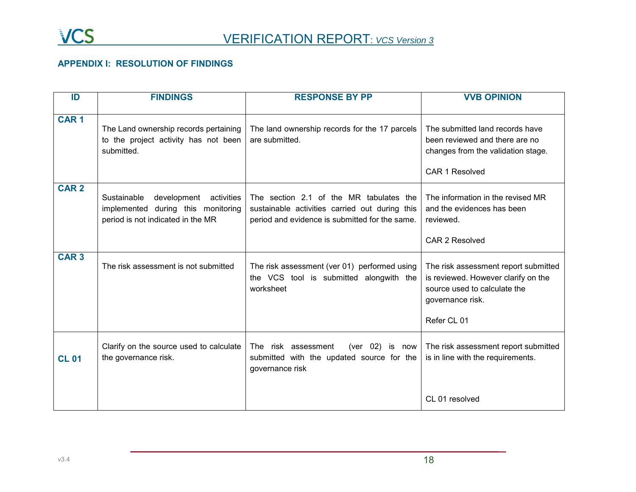

#### **APPENDIX I: RESOLUTION OF FINDINGS**

| ID               | <b>FINDINGS</b>                                                                                                  | <b>RESPONSE BY PP</b>                                                                                                                       | <b>VVB OPINION</b>                                                                                                                             |
|------------------|------------------------------------------------------------------------------------------------------------------|---------------------------------------------------------------------------------------------------------------------------------------------|------------------------------------------------------------------------------------------------------------------------------------------------|
| CAR <sub>1</sub> | The Land ownership records pertaining<br>to the project activity has not been<br>submitted.                      | The land ownership records for the 17 parcels<br>are submitted.                                                                             | The submitted land records have<br>been reviewed and there are no<br>changes from the validation stage.<br>CAR 1 Resolved                      |
| CAR <sub>2</sub> | Sustainable<br>development activities<br>implemented during this monitoring<br>period is not indicated in the MR | The section 2.1 of the MR tabulates the<br>sustainable activities carried out during this<br>period and evidence is submitted for the same. | The information in the revised MR<br>and the evidences has been<br>reviewed.<br>CAR 2 Resolved                                                 |
| <b>CAR3</b>      | The risk assessment is not submitted                                                                             | The risk assessment (ver 01) performed using<br>the VCS tool is submitted alongwith the<br>worksheet                                        | The risk assessment report submitted<br>is reviewed. However clarify on the<br>source used to calculate the<br>governance risk.<br>Refer CL 01 |
| <b>CL 01</b>     | Clarify on the source used to calculate<br>the governance risk.                                                  | (ver $02$ ) is now<br>The risk assessment<br>submitted with the updated source for the<br>governance risk                                   | The risk assessment report submitted<br>is in line with the requirements.                                                                      |
|                  |                                                                                                                  |                                                                                                                                             | CL 01 resolved                                                                                                                                 |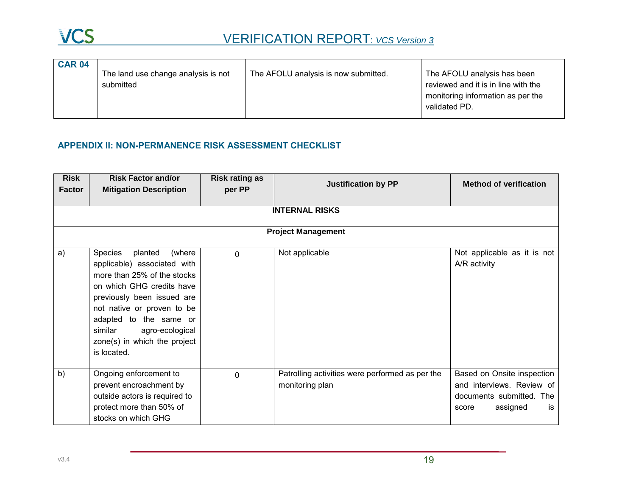

| <b>CAR 04</b> |                                     |                                      |                                     |
|---------------|-------------------------------------|--------------------------------------|-------------------------------------|
|               | The land use change analysis is not | The AFOLU analysis is now submitted. | The AFOLU analysis has been         |
|               | submitted                           |                                      | reviewed and it is in line with the |
|               |                                     |                                      | monitoring information as per the   |
|               |                                     |                                      | validated PD.                       |
|               |                                     |                                      |                                     |

#### **APPENDIX II: NON-PERMANENCE RISK ASSESSMENT CHECKLIST**

| <b>Risk</b>   | <b>Risk Factor and/or</b>                                                                                                                                                                                                                                                                  | <b>Risk rating as</b> | <b>Justification by PP</b>                                         | <b>Method of verification</b>                                                                                  |
|---------------|--------------------------------------------------------------------------------------------------------------------------------------------------------------------------------------------------------------------------------------------------------------------------------------------|-----------------------|--------------------------------------------------------------------|----------------------------------------------------------------------------------------------------------------|
| <b>Factor</b> | <b>Mitigation Description</b>                                                                                                                                                                                                                                                              | per PP                |                                                                    |                                                                                                                |
|               |                                                                                                                                                                                                                                                                                            |                       | <b>INTERNAL RISKS</b>                                              |                                                                                                                |
|               |                                                                                                                                                                                                                                                                                            |                       |                                                                    |                                                                                                                |
|               |                                                                                                                                                                                                                                                                                            |                       | <b>Project Management</b>                                          |                                                                                                                |
| a)            | (where<br>Species<br>planted<br>applicable) associated with<br>more than 25% of the stocks<br>on which GHG credits have<br>previously been issued are<br>not native or proven to be<br>adapted to the same or<br>similar<br>agro-ecological<br>zone(s) in which the project<br>is located. | $\Omega$              | Not applicable                                                     | Not applicable as it is not<br>A/R activity                                                                    |
| b)            | Ongoing enforcement to<br>prevent encroachment by<br>outside actors is required to<br>protect more than 50% of<br>stocks on which GHG                                                                                                                                                      | $\Omega$              | Patrolling activities were performed as per the<br>monitoring plan | Based on Onsite inspection<br>and interviews. Review of<br>documents submitted. The<br>assigned<br>is<br>score |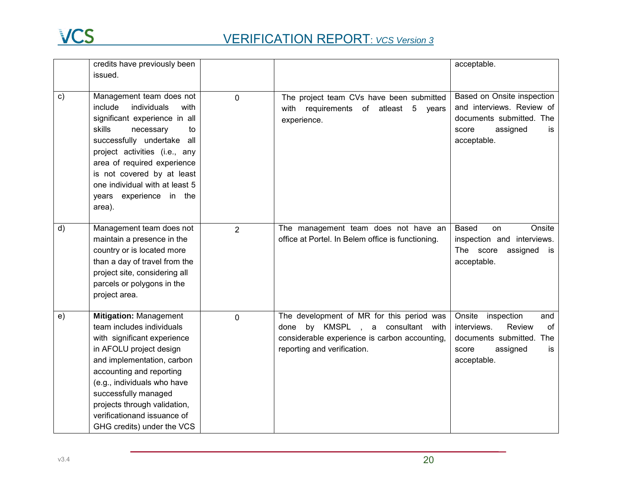

|                | credits have previously been                                                                                                                                                                                                                                                                                                       |                |                                                                                                                                                                  | acceptable.                                                                                                                                |
|----------------|------------------------------------------------------------------------------------------------------------------------------------------------------------------------------------------------------------------------------------------------------------------------------------------------------------------------------------|----------------|------------------------------------------------------------------------------------------------------------------------------------------------------------------|--------------------------------------------------------------------------------------------------------------------------------------------|
|                | issued.                                                                                                                                                                                                                                                                                                                            |                |                                                                                                                                                                  |                                                                                                                                            |
| $\mathbf{C}$ ) | Management team does not<br>include<br>individuals<br>with<br>significant experience in all<br>skills<br>necessary<br>to<br>successfully undertake all<br>project activities (i.e., any<br>area of required experience<br>is not covered by at least<br>one individual with at least 5<br>years experience in the<br>area).        | $\mathbf 0$    | The project team CVs have been submitted<br>with requirements of atleast 5 years<br>experience.                                                                  | Based on Onsite inspection<br>and interviews. Review of<br>documents submitted. The<br>assigned<br>score<br>is<br>acceptable.              |
| d)             | Management team does not<br>maintain a presence in the<br>country or is located more<br>than a day of travel from the<br>project site, considering all<br>parcels or polygons in the<br>project area.                                                                                                                              | $\overline{2}$ | The management team does not have an<br>office at Portel. In Belem office is functioning.                                                                        | <b>Based</b><br>Onsite<br>on<br>inspection and interviews.<br>The score<br>assigned is<br>acceptable.                                      |
| e)             | <b>Mitigation: Management</b><br>team includes individuals<br>with significant experience<br>in AFOLU project design<br>and implementation, carbon<br>accounting and reporting<br>(e.g., individuals who have<br>successfully managed<br>projects through validation,<br>verificationand issuance of<br>GHG credits) under the VCS | $\mathbf 0$    | The development of MR for this period was<br>by KMSPL, a consultant with<br>done<br>considerable experience is carbon accounting,<br>reporting and verification. | Onsite<br>inspection<br>and<br>of<br>interviews.<br><b>Review</b><br>documents submitted.<br>The<br>score<br>assigned<br>is<br>acceptable. |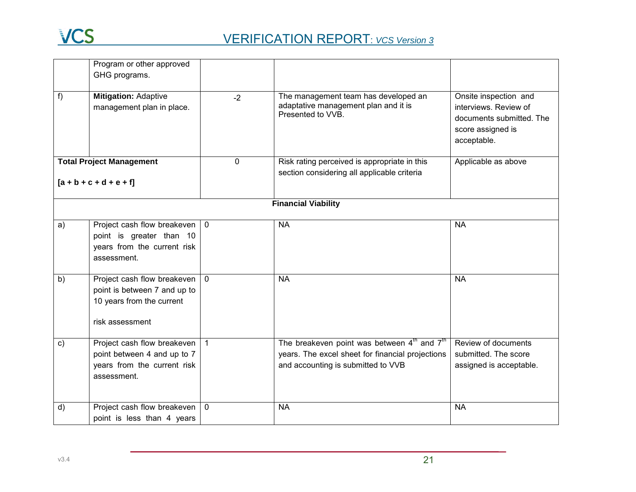

|       | Program or other approved       |                |                                                                     |                          |
|-------|---------------------------------|----------------|---------------------------------------------------------------------|--------------------------|
|       | GHG programs.                   |                |                                                                     |                          |
|       |                                 |                |                                                                     |                          |
| $f$ ) | <b>Mitigation: Adaptive</b>     | $-2$           | The management team has developed an                                | Onsite inspection and    |
|       | management plan in place.       |                | adaptative management plan and it is                                | interviews. Review of    |
|       |                                 |                | Presented to VVB.                                                   | documents submitted. The |
|       |                                 |                |                                                                     | score assigned is        |
|       |                                 |                |                                                                     |                          |
|       |                                 |                |                                                                     | acceptable.              |
|       | <b>Total Project Management</b> | 0              | Risk rating perceived is appropriate in this                        | Applicable as above      |
|       |                                 |                | section considering all applicable criteria                         |                          |
|       | $[a + b + c + d + e + f]$       |                |                                                                     |                          |
|       |                                 |                |                                                                     |                          |
|       |                                 |                | <b>Financial Viability</b>                                          |                          |
|       |                                 |                |                                                                     |                          |
| a)    | Project cash flow breakeven     | $\overline{0}$ | <b>NA</b>                                                           | <b>NA</b>                |
|       | point is greater than 10        |                |                                                                     |                          |
|       | years from the current risk     |                |                                                                     |                          |
|       | assessment.                     |                |                                                                     |                          |
|       |                                 |                |                                                                     |                          |
| b)    | Project cash flow breakeven     | $\mathbf 0$    | <b>NA</b>                                                           | <b>NA</b>                |
|       | point is between 7 and up to    |                |                                                                     |                          |
|       | 10 years from the current       |                |                                                                     |                          |
|       |                                 |                |                                                                     |                          |
|       | risk assessment                 |                |                                                                     |                          |
|       |                                 |                |                                                                     |                          |
| c)    | Project cash flow breakeven     | $\vert$ 1      | The breakeven point was between $4^{\text{th}}$ and $7^{\text{th}}$ | Review of documents      |
|       | point between 4 and up to 7     |                | years. The excel sheet for financial projections                    | submitted. The score     |
|       | years from the current risk     |                | and accounting is submitted to VVB                                  | assigned is acceptable.  |
|       | assessment.                     |                |                                                                     |                          |
|       |                                 |                |                                                                     |                          |
|       |                                 |                |                                                                     |                          |
| d)    | Project cash flow breakeven   0 |                | <b>NA</b>                                                           | <b>NA</b>                |
|       | point is less than 4 years      |                |                                                                     |                          |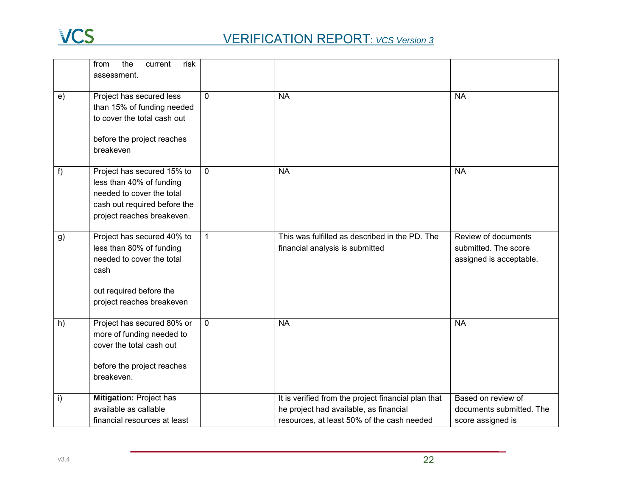

|                | from<br>the<br>current<br>risk<br>assessment.                                                                                                       |                |                                                                                                                                             |                                                                        |
|----------------|-----------------------------------------------------------------------------------------------------------------------------------------------------|----------------|---------------------------------------------------------------------------------------------------------------------------------------------|------------------------------------------------------------------------|
| e)             | Project has secured less<br>than 15% of funding needed<br>to cover the total cash out<br>before the project reaches<br>breakeven                    | $\mathbf{0}$   | <b>NA</b>                                                                                                                                   | <b>NA</b>                                                              |
| $\overline{f}$ | Project has secured 15% to<br>less than 40% of funding<br>needed to cover the total<br>cash out required before the<br>project reaches breakeven.   | $\overline{0}$ | <b>NA</b>                                                                                                                                   | $N_A$                                                                  |
| g)             | Project has secured 40% to<br>less than 80% of funding<br>needed to cover the total<br>cash<br>out required before the<br>project reaches breakeven | $\mathbf{1}$   | This was fulfilled as described in the PD. The<br>financial analysis is submitted                                                           | Review of documents<br>submitted. The score<br>assigned is acceptable. |
| $\overline{h}$ | Project has secured 80% or<br>more of funding needed to<br>cover the total cash out<br>before the project reaches<br>breakeven.                     | $\overline{0}$ | <b>NA</b>                                                                                                                                   | <b>NA</b>                                                              |
| i)             | Mitigation: Project has<br>available as callable<br>financial resources at least                                                                    |                | It is verified from the project financial plan that<br>he project had available, as financial<br>resources, at least 50% of the cash needed | Based on review of<br>documents submitted. The<br>score assigned is    |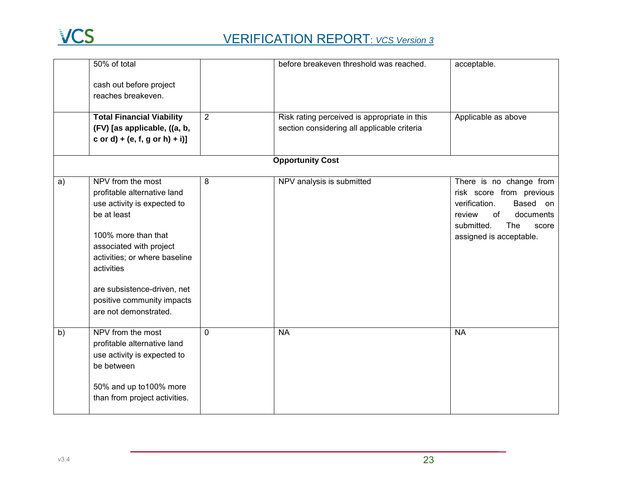

|    | 50% of total<br>cash out before project                                                                                                                                                                                                                                               |             | before breakeven threshold was reached.                                                     | acceptable.                                                                                                                                                                   |
|----|---------------------------------------------------------------------------------------------------------------------------------------------------------------------------------------------------------------------------------------------------------------------------------------|-------------|---------------------------------------------------------------------------------------------|-------------------------------------------------------------------------------------------------------------------------------------------------------------------------------|
|    | reaches breakeven.                                                                                                                                                                                                                                                                    |             |                                                                                             |                                                                                                                                                                               |
|    | <b>Total Financial Viability</b><br>(FV) [as applicable, ((a, b,                                                                                                                                                                                                                      | 2           | Risk rating perceived is appropriate in this<br>section considering all applicable criteria | Applicable as above                                                                                                                                                           |
|    | c or d) + (e, f, g or h) + i)]                                                                                                                                                                                                                                                        |             |                                                                                             |                                                                                                                                                                               |
|    |                                                                                                                                                                                                                                                                                       |             | <b>Opportunity Cost</b>                                                                     |                                                                                                                                                                               |
| a) | NPV from the most<br>profitable alternative land<br>use activity is expected to<br>be at least<br>100% more than that<br>associated with project<br>activities; or where baseline<br>activities<br>are subsistence-driven, net<br>positive community impacts<br>are not demonstrated. | 8           | NPV analysis is submitted                                                                   | There is no change from<br>risk score from previous<br>verification.<br>Based on<br>review<br>of<br>documents<br>submitted.<br><b>The</b><br>score<br>assigned is acceptable. |
| b) | NPV from the most<br>profitable alternative land<br>use activity is expected to<br>be between<br>50% and up to100% more<br>than from project activities.                                                                                                                              | $\mathbf 0$ | <b>NA</b>                                                                                   | <b>NA</b>                                                                                                                                                                     |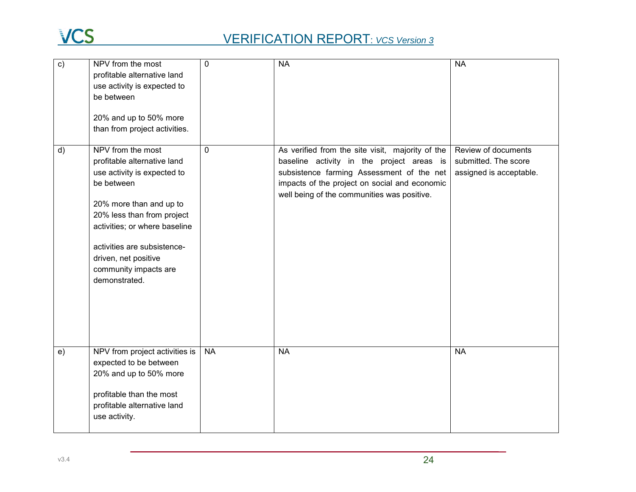

| $\mathbf{c})$  | NPV from the most<br>profitable alternative land<br>use activity is expected to<br>be between<br>20% and up to 50% more<br>than from project activities.                                                                                                                                 | $\mathbf 0$ | <b>NA</b>                                                                                                                                                                                                                                  | <b>NA</b>                                                              |
|----------------|------------------------------------------------------------------------------------------------------------------------------------------------------------------------------------------------------------------------------------------------------------------------------------------|-------------|--------------------------------------------------------------------------------------------------------------------------------------------------------------------------------------------------------------------------------------------|------------------------------------------------------------------------|
| $\overline{d}$ | NPV from the most<br>profitable alternative land<br>use activity is expected to<br>be between<br>20% more than and up to<br>20% less than from project<br>activities; or where baseline<br>activities are subsistence-<br>driven, net positive<br>community impacts are<br>demonstrated. | $\mathbf 0$ | As verified from the site visit, majority of the<br>baseline activity in the project areas is<br>subsistence farming Assessment of the net<br>impacts of the project on social and economic<br>well being of the communities was positive. | Review of documents<br>submitted. The score<br>assigned is acceptable. |
| e)             | NPV from project activities is<br>expected to be between<br>20% and up to 50% more<br>profitable than the most<br>profitable alternative land<br>use activity.                                                                                                                           | <b>NA</b>   | <b>NA</b>                                                                                                                                                                                                                                  | <b>NA</b>                                                              |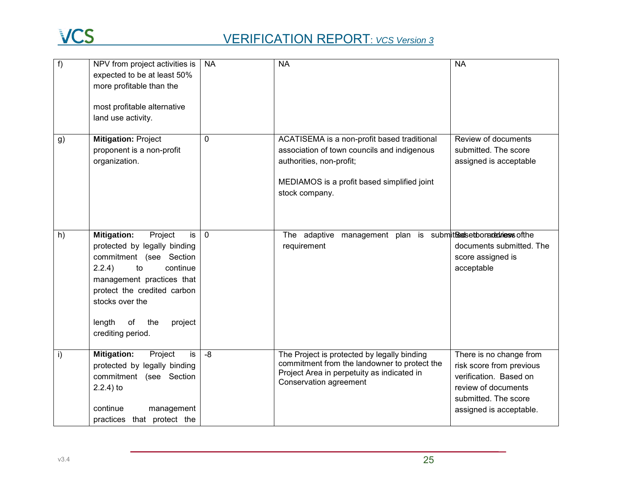

| f              | NPV from project activities is<br>expected to be at least 50%<br>more profitable than the<br>most profitable alternative<br>land use activity.                                                                                                                   | <b>NA</b>           | <b>NA</b>                                                                                                                                                                               | <b>NA</b>                                                                                                                                               |
|----------------|------------------------------------------------------------------------------------------------------------------------------------------------------------------------------------------------------------------------------------------------------------------|---------------------|-----------------------------------------------------------------------------------------------------------------------------------------------------------------------------------------|---------------------------------------------------------------------------------------------------------------------------------------------------------|
| g)             | <b>Mitigation: Project</b><br>proponent is a non-profit<br>organization.                                                                                                                                                                                         | $\Omega$            | ACATISEMA is a non-profit based traditional<br>association of town councils and indigenous<br>authorities, non-profit;<br>MEDIAMOS is a profit based simplified joint<br>stock company. | Review of documents<br>submitted. The score<br>assigned is acceptable                                                                                   |
| $\overline{h}$ | <b>Mitigation:</b><br>Project<br>is<br>protected by legally binding<br>commitment (see Section<br>2.2.4)<br>continue<br>to<br>management practices that<br>protect the credited carbon<br>stocks over the<br>length<br>of<br>project<br>the<br>crediting period. | $\mathbf 0$         | The adaptive<br>management plan is submitterated boranded news of the<br>requirement                                                                                                    | documents submitted. The<br>score assigned is<br>acceptable                                                                                             |
| $\mathsf{i}$   | <b>Mitigation:</b><br>Project<br>is<br>protected by legally binding<br>commitment (see Section<br>$2.2.4$ ) to<br>continue<br>management<br>practices that protect the                                                                                           | $-\frac{1}{\alpha}$ | The Project is protected by legally binding<br>commitment from the landowner to protect the<br>Project Area in perpetuity as indicated in<br>Conservation agreement                     | There is no change from<br>risk score from previous<br>verification. Based on<br>review of documents<br>submitted. The score<br>assigned is acceptable. |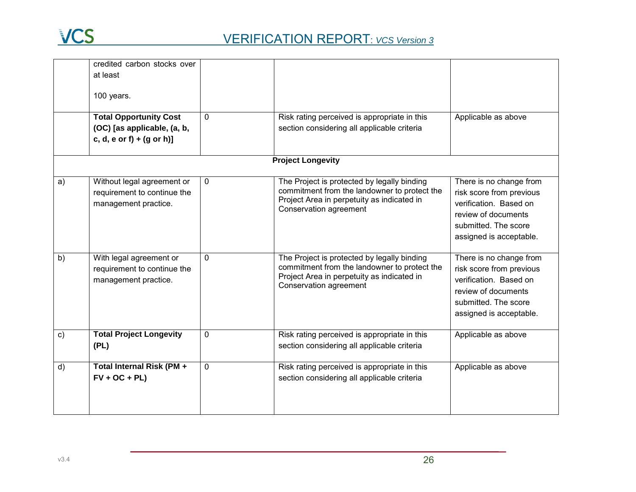

|                 | credited carbon stocks over<br>at least<br>100 years.<br><b>Total Opportunity Cost</b><br>(OC) [as applicable, (a, b,<br>c, d, e or f) + $(g$ or h)] | $\mathbf{0}$ | Risk rating perceived is appropriate in this<br>section considering all applicable criteria                                                                         | Applicable as above                                                                                                                                     |
|-----------------|------------------------------------------------------------------------------------------------------------------------------------------------------|--------------|---------------------------------------------------------------------------------------------------------------------------------------------------------------------|---------------------------------------------------------------------------------------------------------------------------------------------------------|
|                 |                                                                                                                                                      |              | <b>Project Longevity</b>                                                                                                                                            |                                                                                                                                                         |
| a)              | Without legal agreement or<br>requirement to continue the<br>management practice.                                                                    | 0            | The Project is protected by legally binding<br>commitment from the landowner to protect the<br>Project Area in perpetuity as indicated in<br>Conservation agreement | There is no change from<br>risk score from previous<br>verification. Based on<br>review of documents<br>submitted. The score<br>assigned is acceptable. |
| $\overline{b)}$ | With legal agreement or<br>requirement to continue the<br>management practice.                                                                       | 0            | The Project is protected by legally binding<br>commitment from the landowner to protect the<br>Project Area in perpetuity as indicated in<br>Conservation agreement | There is no change from<br>risk score from previous<br>verification. Based on<br>review of documents<br>submitted. The score<br>assigned is acceptable. |
| $\mathbf{c})$   | <b>Total Project Longevity</b><br>(PL)                                                                                                               | 0            | Risk rating perceived is appropriate in this<br>section considering all applicable criteria                                                                         | Applicable as above                                                                                                                                     |
| d)              | Total Internal Risk (PM +<br>$FV + OC + PL$                                                                                                          | $\mathbf 0$  | Risk rating perceived is appropriate in this<br>section considering all applicable criteria                                                                         | Applicable as above                                                                                                                                     |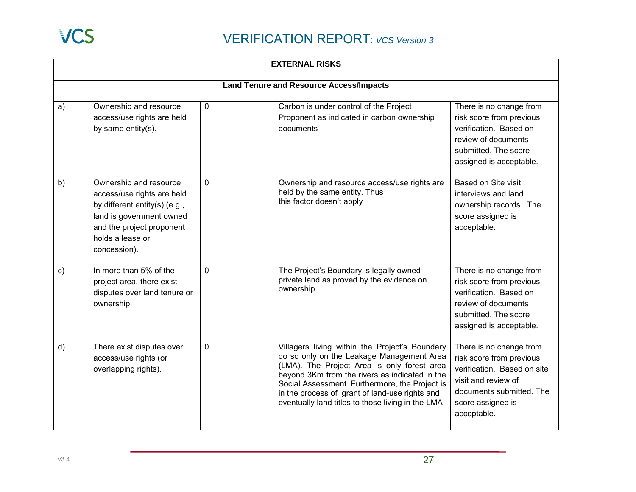

|              | <b>EXTERNAL RISKS</b>                                                                                                                                                              |              |                                                                                                                                                                                                                                                                                                                                                       |                                                                                                                                                                           |  |
|--------------|------------------------------------------------------------------------------------------------------------------------------------------------------------------------------------|--------------|-------------------------------------------------------------------------------------------------------------------------------------------------------------------------------------------------------------------------------------------------------------------------------------------------------------------------------------------------------|---------------------------------------------------------------------------------------------------------------------------------------------------------------------------|--|
|              |                                                                                                                                                                                    |              | <b>Land Tenure and Resource Access/Impacts</b>                                                                                                                                                                                                                                                                                                        |                                                                                                                                                                           |  |
| a)           | Ownership and resource<br>access/use rights are held<br>by same entity(s).                                                                                                         | 0            | Carbon is under control of the Project<br>Proponent as indicated in carbon ownership<br>documents                                                                                                                                                                                                                                                     | There is no change from<br>risk score from previous<br>verification. Based on<br>review of documents<br>submitted. The score<br>assigned is acceptable.                   |  |
| b)           | Ownership and resource<br>access/use rights are held<br>by different entity(s) (e.g.,<br>land is government owned<br>and the project proponent<br>holds a lease or<br>concession). | $\Omega$     | Ownership and resource access/use rights are<br>held by the same entity. Thus<br>this factor doesn't apply                                                                                                                                                                                                                                            | Based on Site visit,<br>interviews and land<br>ownership records. The<br>score assigned is<br>acceptable.                                                                 |  |
| $\mathbf{C}$ | In more than 5% of the<br>project area, there exist<br>disputes over land tenure or<br>ownership.                                                                                  | $\Omega$     | The Project's Boundary is legally owned<br>private land as proved by the evidence on<br>ownership                                                                                                                                                                                                                                                     | There is no change from<br>risk score from previous<br>verification. Based on<br>review of documents<br>submitted. The score<br>assigned is acceptable.                   |  |
| d)           | There exist disputes over<br>access/use rights (or<br>overlapping rights).                                                                                                         | $\mathbf{0}$ | Villagers living within the Project's Boundary<br>do so only on the Leakage Management Area<br>(LMA). The Project Area is only forest area<br>beyond 3Km from the rivers as indicated in the<br>Social Assessment. Furthermore, the Project is<br>in the process of grant of land-use rights and<br>eventually land titles to those living in the LMA | There is no change from<br>risk score from previous<br>verification. Based on site<br>visit and review of<br>documents submitted. The<br>score assigned is<br>acceptable. |  |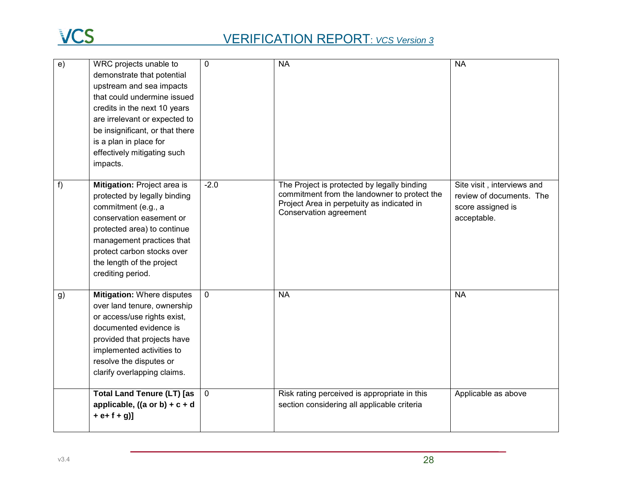

| e)    | WRC projects unable to<br>demonstrate that potential<br>upstream and sea impacts<br>that could undermine issued<br>credits in the next 10 years<br>are irrelevant or expected to<br>be insignificant, or that there<br>is a plan in place for<br>effectively mitigating such<br>impacts. | $\Omega$    | <b>NA</b>                                                                                                                                                           | <b>NA</b>                                                                                  |
|-------|------------------------------------------------------------------------------------------------------------------------------------------------------------------------------------------------------------------------------------------------------------------------------------------|-------------|---------------------------------------------------------------------------------------------------------------------------------------------------------------------|--------------------------------------------------------------------------------------------|
| $f$ ) | Mitigation: Project area is<br>protected by legally binding<br>commitment (e.g., a<br>conservation easement or<br>protected area) to continue<br>management practices that<br>protect carbon stocks over<br>the length of the project<br>crediting period.                               | $-2.0$      | The Project is protected by legally binding<br>commitment from the landowner to protect the<br>Project Area in perpetuity as indicated in<br>Conservation agreement | Site visit, interviews and<br>review of documents. The<br>score assigned is<br>acceptable. |
| g)    | <b>Mitigation: Where disputes</b><br>over land tenure, ownership<br>or access/use rights exist,<br>documented evidence is<br>provided that projects have<br>implemented activities to<br>resolve the disputes or<br>clarify overlapping claims.                                          | $\mathbf 0$ | <b>NA</b>                                                                                                                                                           | <b>NA</b>                                                                                  |
|       | <b>Total Land Tenure (LT) [as</b><br>applicable, ((a or b) + $c$ + d<br>$+ e + f + g$ ]                                                                                                                                                                                                  | $\mathbf 0$ | Risk rating perceived is appropriate in this<br>section considering all applicable criteria                                                                         | Applicable as above                                                                        |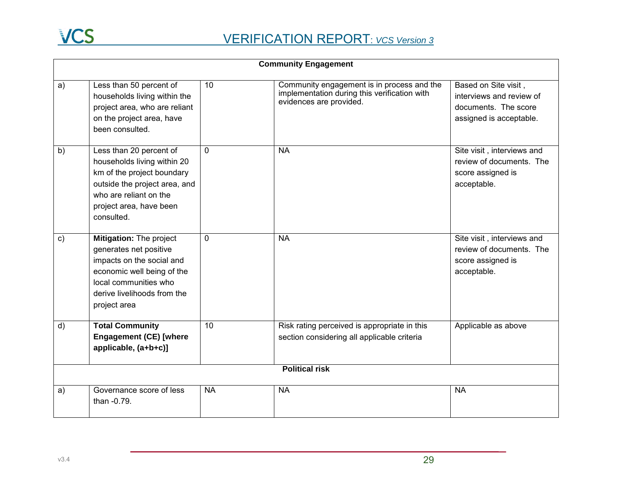

| <b>Community Engagement</b> |                                                                                                                                                                                          |                 |                                                                                                                       |                                                                                                     |
|-----------------------------|------------------------------------------------------------------------------------------------------------------------------------------------------------------------------------------|-----------------|-----------------------------------------------------------------------------------------------------------------------|-----------------------------------------------------------------------------------------------------|
| a)                          | Less than 50 percent of<br>households living within the<br>project area, who are reliant<br>on the project area, have<br>been consulted.                                                 | 10              | Community engagement is in process and the<br>implementation during this verification with<br>evidences are provided. | Based on Site visit,<br>interviews and review of<br>documents. The score<br>assigned is acceptable. |
| b)                          | Less than 20 percent of<br>households living within 20<br>km of the project boundary<br>outside the project area, and<br>who are reliant on the<br>project area, have been<br>consulted. | $\Omega$        | <b>NA</b>                                                                                                             | Site visit, interviews and<br>review of documents. The<br>score assigned is<br>acceptable.          |
| $\mathbf{C}$                | Mitigation: The project<br>generates net positive<br>impacts on the social and<br>economic well being of the<br>local communities who<br>derive livelihoods from the<br>project area     | $\Omega$        | <b>NA</b>                                                                                                             | Site visit, interviews and<br>review of documents. The<br>score assigned is<br>acceptable.          |
| d)                          | <b>Total Community</b><br><b>Engagement (CE) [where</b><br>applicable, (a+b+c)]                                                                                                          | $\overline{10}$ | Risk rating perceived is appropriate in this<br>section considering all applicable criteria                           | Applicable as above                                                                                 |
| <b>Political risk</b>       |                                                                                                                                                                                          |                 |                                                                                                                       |                                                                                                     |
| a)                          | Governance score of less<br>than -0.79.                                                                                                                                                  | <b>NA</b>       | <b>NA</b>                                                                                                             | <b>NA</b>                                                                                           |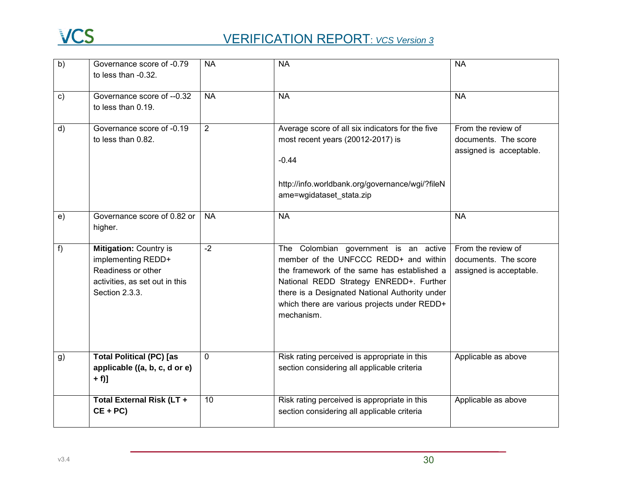

| b)    | Governance score of -0.79<br>to less than -0.32.                                                                       | <b>NA</b>      | <b>NA</b>                                                                                                                                                                                                                                                                                | <b>NA</b>                                                             |
|-------|------------------------------------------------------------------------------------------------------------------------|----------------|------------------------------------------------------------------------------------------------------------------------------------------------------------------------------------------------------------------------------------------------------------------------------------------|-----------------------------------------------------------------------|
| c)    | Governance score of --0.32<br>to less than 0.19.                                                                       | <b>NA</b>      | <b>NA</b>                                                                                                                                                                                                                                                                                | <b>NA</b>                                                             |
| d)    | Governance score of -0.19<br>to less than 0.82.                                                                        | $\overline{2}$ | Average score of all six indicators for the five<br>most recent years (20012-2017) is<br>$-0.44$<br>http://info.worldbank.org/governance/wgi/?fileN<br>ame=wgidataset stata.zip                                                                                                          | From the review of<br>documents. The score<br>assigned is acceptable. |
| e)    | Governance score of 0.82 or<br>higher.                                                                                 | <b>NA</b>      | <b>NA</b>                                                                                                                                                                                                                                                                                | <b>NA</b>                                                             |
| $f$ ) | Mitigation: Country is<br>implementing REDD+<br>Readiness or other<br>activities, as set out in this<br>Section 2.3.3. | $-2$           | The Colombian government is an active<br>member of the UNFCCC REDD+ and within<br>the framework of the same has established a<br>National REDD Strategy ENREDD+. Further<br>there is a Designated National Authority under<br>which there are various projects under REDD+<br>mechanism. | From the review of<br>documents. The score<br>assigned is acceptable. |
| g)    | <b>Total Political (PC) [as</b><br>applicable ((a, b, c, d or e)<br>$+ f)]$                                            | $\mathbf 0$    | Risk rating perceived is appropriate in this<br>section considering all applicable criteria                                                                                                                                                                                              | Applicable as above                                                   |
|       | Total External Risk (LT +<br>$CE + PC$                                                                                 | 10             | Risk rating perceived is appropriate in this<br>section considering all applicable criteria                                                                                                                                                                                              | Applicable as above                                                   |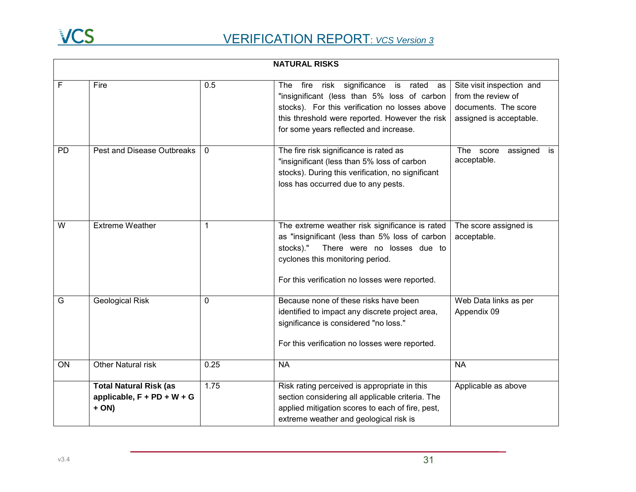

| <b>NATURAL RISKS</b> |                                                                           |          |                                                                                                                                                                                                                                           |                                                                                                    |
|----------------------|---------------------------------------------------------------------------|----------|-------------------------------------------------------------------------------------------------------------------------------------------------------------------------------------------------------------------------------------------|----------------------------------------------------------------------------------------------------|
| $\mathsf F$          | Fire                                                                      | 0.5      | fire risk significance is rated<br>The<br>as<br>"insignificant (less than 5% loss of carbon<br>stocks). For this verification no losses above<br>this threshold were reported. However the risk<br>for some years reflected and increase. | Site visit inspection and<br>from the review of<br>documents. The score<br>assigned is acceptable. |
| PD                   | Pest and Disease Outbreaks                                                | $\Omega$ | The fire risk significance is rated as<br>"insignificant (less than 5% loss of carbon<br>stocks). During this verification, no significant<br>loss has occurred due to any pests.                                                         | The score<br>assigned is<br>acceptable.                                                            |
| W                    | <b>Extreme Weather</b>                                                    | 1        | The extreme weather risk significance is rated<br>as "insignificant (less than 5% loss of carbon<br>There were no losses due to<br>stocks)."<br>cyclones this monitoring period.<br>For this verification no losses were reported.        | The score assigned is<br>acceptable.                                                               |
| G                    | <b>Geological Risk</b>                                                    | 0        | Because none of these risks have been<br>identified to impact any discrete project area,<br>significance is considered "no loss."<br>For this verification no losses were reported.                                                       | Web Data links as per<br>Appendix 09                                                               |
| $\overline{ON}$      | <b>Other Natural risk</b>                                                 | 0.25     | N <sub>A</sub>                                                                                                                                                                                                                            | <b>NA</b>                                                                                          |
|                      | <b>Total Natural Risk (as</b><br>applicable, $F + PD + W + G$<br>$+ ON$ ) | 1.75     | Risk rating perceived is appropriate in this<br>section considering all applicable criteria. The<br>applied mitigation scores to each of fire, pest,<br>extreme weather and geological risk is                                            | Applicable as above                                                                                |